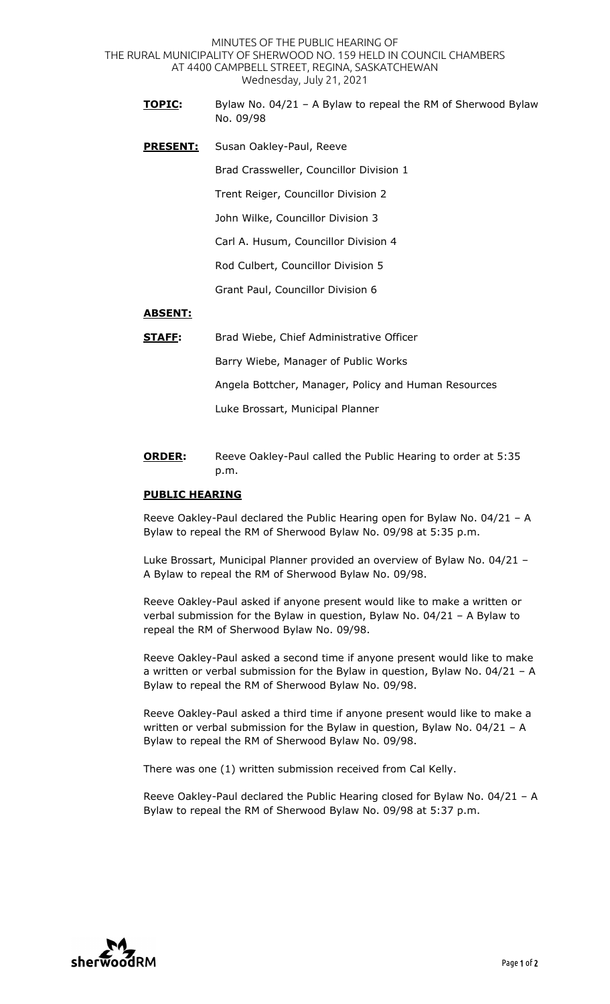MINUTES OF THE PUBLIC HEARING OF THE RURAL MUNICIPALITY OF SHERWOOD NO. 159 HELD IN COUNCIL CHAMBERS AT 4400 CAMPBELL STREET, REGINA, SASKATCHEWAN Wednesday, July 21, 2021

- **TOPIC:** Bylaw No. 04/21 A Bylaw to repeal the RM of Sherwood Bylaw No. 09/98
- **PRESENT:** Susan Oakley-Paul, Reeve

Brad Crassweller, Councillor Division 1

Trent Reiger, Councillor Division 2

John Wilke, Councillor Division 3

Carl A. Husum, Councillor Division 4

Rod Culbert, Councillor Division 5

Grant Paul, Councillor Division 6

## **ABSENT:**

**STAFF:** Brad Wiebe, Chief Administrative Officer

Barry Wiebe, Manager of Public Works

Angela Bottcher, Manager, Policy and Human Resources

Luke Brossart, Municipal Planner

**ORDER:** Reeve Oakley-Paul called the Public Hearing to order at 5:35 p.m.

## **PUBLIC HEARING**

Reeve Oakley-Paul declared the Public Hearing open for Bylaw No. 04/21 – A Bylaw to repeal the RM of Sherwood Bylaw No. 09/98 at 5:35 p.m.

Luke Brossart, Municipal Planner provided an overview of Bylaw No. 04/21 – A Bylaw to repeal the RM of Sherwood Bylaw No. 09/98.

Reeve Oakley-Paul asked if anyone present would like to make a written or verbal submission for the Bylaw in question, Bylaw No. 04/21 – A Bylaw to repeal the RM of Sherwood Bylaw No. 09/98.

Reeve Oakley-Paul asked a second time if anyone present would like to make a written or verbal submission for the Bylaw in question, Bylaw No. 04/21 – A Bylaw to repeal the RM of Sherwood Bylaw No. 09/98.

Reeve Oakley-Paul asked a third time if anyone present would like to make a written or verbal submission for the Bylaw in question, Bylaw No. 04/21 – A Bylaw to repeal the RM of Sherwood Bylaw No. 09/98.

There was one (1) written submission received from Cal Kelly.

Reeve Oakley-Paul declared the Public Hearing closed for Bylaw No. 04/21 – A Bylaw to repeal the RM of Sherwood Bylaw No. 09/98 at 5:37 p.m.